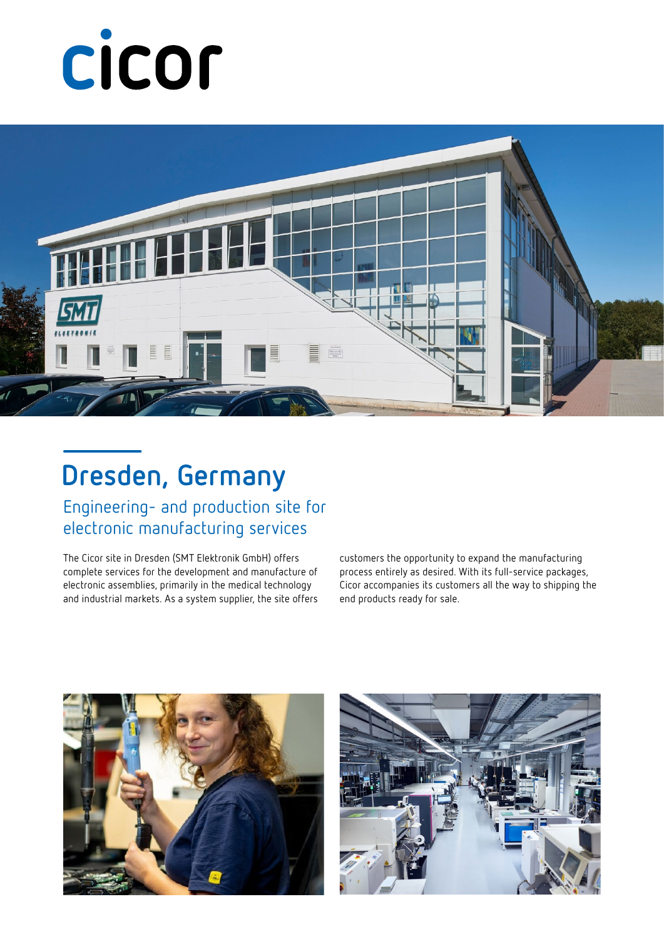# cicor



### **Dresden, Germany**

Engineering- and production site for electronic manufacturing services

The Cicor site in Dresden (SMT Elektronik GmbH) offers complete services for the development and manufacture of electronic assemblies, primarily in the medical technology and industrial markets. As a system supplier, the site offers customers the opportunity to expand the manufacturing process entirely as desired. With its full-service packages, Cicor accompanies its customers all the way to shipping the end products ready for sale.